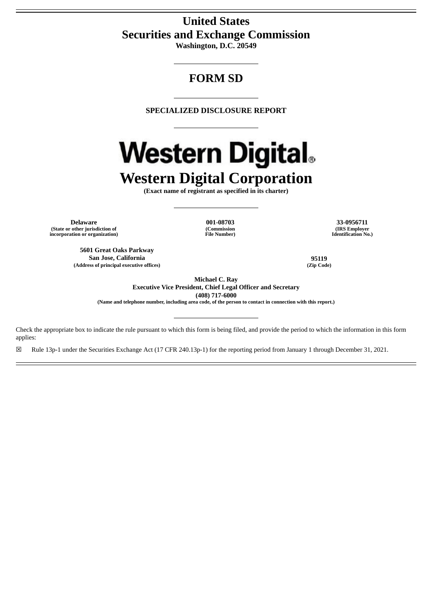# **United States Securities and Exchange Commission**

**Washington, D.C. 20549**

# **FORM SD**

**SPECIALIZED DISCLOSURE REPORT**

# **Western Digital.**

**Western Digital Corporation**

**(Exact name of registrant as specified in its charter)**

**(Commission File Number)**

**Delaware 001-08703 33-0956711 (State or other jurisdiction of incorporation or organization)**

**5601 Great Oaks Parkway San Jose, California 95119 (Address of principal executive offices) (Zip Code)**

**(IRS Employer Identification No.)**

**Michael C. Ray**

**Executive Vice President, Chief Legal Officer and Secretary (408) 717-6000**

(Name and telephone number, including area code, of the person to contact in connection with this report.)

Check the appropriate box to indicate the rule pursuant to which this form is being filed, and provide the period to which the information in this form applies:

☒ Rule 13p-1 under the Securities Exchange Act (17 CFR 240.13p-1) for the reporting period from January 1 through December 31, 2021.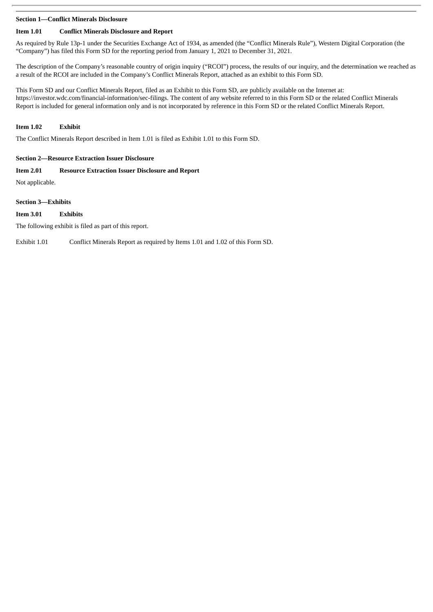#### **Section 1—Conflict Minerals Disclosure**

## **Item 1.01 Conflict Minerals Disclosure and Report**

As required by Rule 13p-1 under the Securities Exchange Act of 1934, as amended (the "Conflict Minerals Rule"), Western Digital Corporation (the "Company") has filed this Form SD for the reporting period from January 1, 2021 to December 31, 2021.

The description of the Company's reasonable country of origin inquiry ("RCOI") process, the results of our inquiry, and the determination we reached as a result of the RCOI are included in the Company's Conflict Minerals Report, attached as an exhibit to this Form SD.

This Form SD and our Conflict Minerals Report, filed as an Exhibit to this Form SD, are publicly available on the Internet at: https://investor.wdc.com/financial-information/sec-filings. The content of any website referred to in this Form SD or the related Conflict Minerals Report is included for general information only and is not incorporated by reference in this Form SD or the related Conflict Minerals Report.

# **Item 1.02 Exhibit**

The Conflict Minerals Report described in Item 1.01 is filed as Exhibit 1.01 to this Form SD.

#### **Section 2—Resource Extraction Issuer Disclosure**

#### **Item 2.01 Resource Extraction Issuer Disclosure and Report**

Not applicable.

#### **Section 3—Exhibits**

#### **Item 3.01 Exhibits**

The following exhibit is filed as part of this report.

Exhibit 1.01 Conflict Minerals Report as required by Items 1.01 and 1.02 of this Form SD.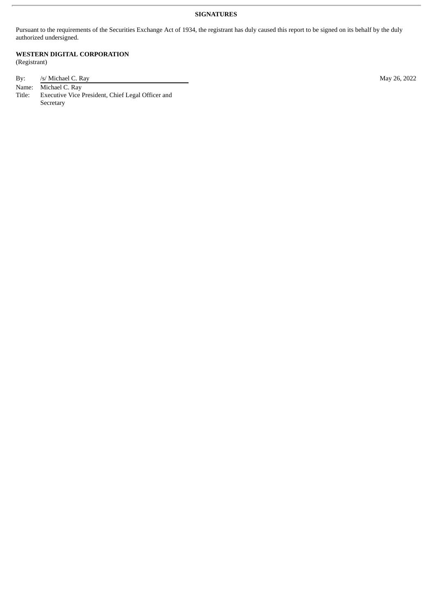# **SIGNATURES**

Pursuant to the requirements of the Securities Exchange Act of 1934, the registrant has duly caused this report to be signed on its behalf by the duly authorized undersigned.

**WESTERN DIGITAL CORPORATION** (Registrant)

| By:    | /s/ Michael C. Ray                                | May 26, 2022 |
|--------|---------------------------------------------------|--------------|
|        | Name: Michael C. Ray                              |              |
| Title: | Executive Vice President, Chief Legal Officer and |              |
|        | Secretary                                         |              |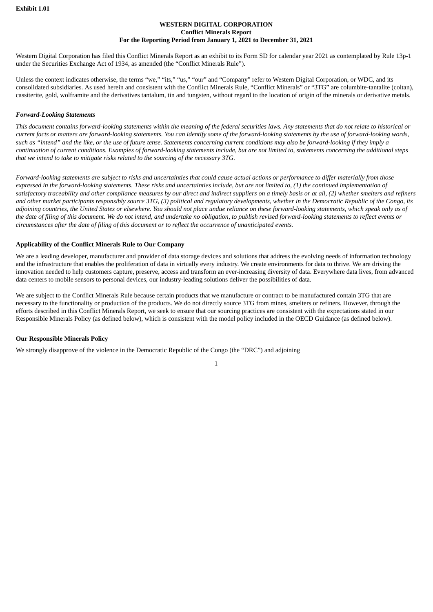#### **WESTERN DIGITAL CORPORATION Conflict Minerals Report For the Reporting Period from January 1, 2021 to December 31, 2021**

Western Digital Corporation has filed this Conflict Minerals Report as an exhibit to its Form SD for calendar year 2021 as contemplated by Rule 13p-1 under the Securities Exchange Act of 1934, as amended (the "Conflict Minerals Rule").

Unless the context indicates otherwise, the terms "we," "its," "us," "our" and "Company" refer to Western Digital Corporation, or WDC, and its consolidated subsidiaries. As used herein and consistent with the Conflict Minerals Rule, "Conflict Minerals" or "3TG" are columbite-tantalite (coltan), cassiterite, gold, wolframite and the derivatives tantalum, tin and tungsten, without regard to the location of origin of the minerals or derivative metals.

#### *Forward-Looking Statements*

This document contains forward-looking statements within the meaning of the federal securities laws. Any statements that do not relate to historical or current facts or matters are forward-looking statements. You can identify some of the forward-looking statements by the use of forward-looking words, such as "intend" and the like, or the use of future tense. Statements concerning current conditions may also be forward-looking if they imply a continuation of current conditions. Examples of forward-looking statements include, but are not limited to, statements concerning the additional steps *that we intend to take to mitigate risks related to the sourcing of the necessary 3TG.*

Forward-looking statements are subject to risks and uncertainties that could cause actual actions or performance to differ materially from those expressed in the forward-looking statements. These risks and uncertainties include, but are not limited to, (1) the continued implementation of satisfactory traceability and other compliance measures by our direct and indirect suppliers on a timely basis or at all, (2) whether smelters and refiners and other market participants responsibly source 3TG, (3) political and regulatory developments, whether in the Democratic Republic of the Congo, its adjoining countries, the United States or elsewhere. You should not place undue reliance on these forward-looking statements, which speak only as of the date of filing of this document. We do not intend, and undertake no obligation, to publish revised forward-looking statements to reflect events or circumstances after the date of filing of this document or to reflect the occurrence of unanticipated events.

#### **Applicability of the Conflict Minerals Rule to Our Company**

We are a leading developer, manufacturer and provider of data storage devices and solutions that address the evolving needs of information technology and the infrastructure that enables the proliferation of data in virtually every industry. We create environments for data to thrive. We are driving the innovation needed to help customers capture, preserve, access and transform an ever-increasing diversity of data. Everywhere data lives, from advanced data centers to mobile sensors to personal devices, our industry-leading solutions deliver the possibilities of data.

We are subject to the Conflict Minerals Rule because certain products that we manufacture or contract to be manufactured contain 3TG that are necessary to the functionality or production of the products. We do not directly source 3TG from mines, smelters or refiners. However, through the efforts described in this Conflict Minerals Report, we seek to ensure that our sourcing practices are consistent with the expectations stated in our Responsible Minerals Policy (as defined below), which is consistent with the model policy included in the OECD Guidance (as defined below).

#### **Our Responsible Minerals Policy**

We strongly disapprove of the violence in the Democratic Republic of the Congo (the "DRC") and adjoining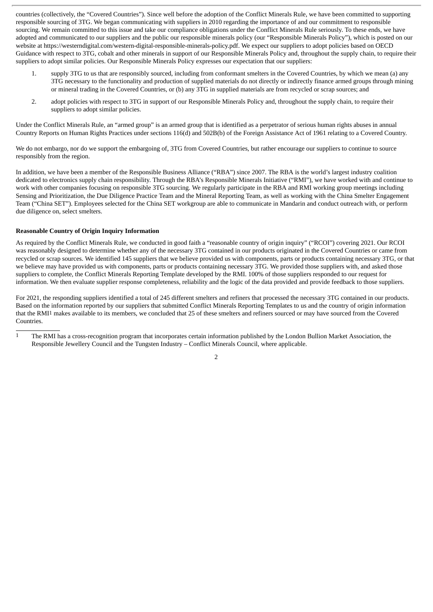countries (collectively, the "Covered Countries"). Since well before the adoption of the Conflict Minerals Rule, we have been committed to supporting responsible sourcing of 3TG. We began communicating with suppliers in 2010 regarding the importance of and our commitment to responsible sourcing. We remain committed to this issue and take our compliance obligations under the Conflict Minerals Rule seriously. To these ends, we have adopted and communicated to our suppliers and the public our responsible minerals policy (our "Responsible Minerals Policy"), which is posted on our website at https://westerndigital.com/western-digital-responsible-minerals-policy.pdf. We expect our suppliers to adopt policies based on OECD Guidance with respect to 3TG, cobalt and other minerals in support of our Responsible Minerals Policy and, throughout the supply chain, to require their suppliers to adopt similar policies. Our Responsible Minerals Policy expresses our expectation that our suppliers:

- 1. supply 3TG to us that are responsibly sourced, including from conformant smelters in the Covered Countries, by which we mean (a) any 3TG necessary to the functionality and production of supplied materials do not directly or indirectly finance armed groups through mining or mineral trading in the Covered Countries, or (b) any 3TG in supplied materials are from recycled or scrap sources; and
- 2. adopt policies with respect to 3TG in support of our Responsible Minerals Policy and, throughout the supply chain, to require their suppliers to adopt similar policies.

Under the Conflict Minerals Rule, an "armed group" is an armed group that is identified as a perpetrator of serious human rights abuses in annual Country Reports on Human Rights Practices under sections 116(d) and 502B(b) of the Foreign Assistance Act of 1961 relating to a Covered Country.

We do not embargo, nor do we support the embargoing of, 3TG from Covered Countries, but rather encourage our suppliers to continue to source responsibly from the region.

In addition, we have been a member of the Responsible Business Alliance ("RBA") since 2007. The RBA is the world's largest industry coalition dedicated to electronics supply chain responsibility. Through the RBA's Responsible Minerals Initiative ("RMI"), we have worked with and continue to work with other companies focusing on responsible 3TG sourcing. We regularly participate in the RBA and RMI working group meetings including Sensing and Prioritization, the Due Diligence Practice Team and the Mineral Reporting Team, as well as working with the China Smelter Engagement Team ("China SET"). Employees selected for the China SET workgroup are able to communicate in Mandarin and conduct outreach with, or perform due diligence on, select smelters.

# **Reasonable Country of Origin Inquiry Information**

As required by the Conflict Minerals Rule, we conducted in good faith a "reasonable country of origin inquiry" ("RCOI") covering 2021. Our RCOI was reasonably designed to determine whether any of the necessary 3TG contained in our products originated in the Covered Countries or came from recycled or scrap sources. We identified 145 suppliers that we believe provided us with components, parts or products containing necessary 3TG, or that we believe may have provided us with components, parts or products containing necessary 3TG. We provided those suppliers with, and asked those suppliers to complete, the Conflict Minerals Reporting Template developed by the RMI. 100% of those suppliers responded to our request for information. We then evaluate supplier response completeness, reliability and the logic of the data provided and provide feedback to those suppliers.

For 2021, the responding suppliers identified a total of 245 different smelters and refiners that processed the necessary 3TG contained in our products. Based on the information reported by our suppliers that submitted Conflict Minerals Reporting Templates to us and the country of origin information that the RMI1 makes available to its members, we concluded that 25 of these smelters and refiners sourced or may have sourced from the Covered Countries.

1 The RMI has a cross-recognition program that incorporates certain information published by the London Bullion Market Association, the Responsible Jewellery Council and the Tungsten Industry – Conflict Minerals Council, where applicable.

 $\overline{2}$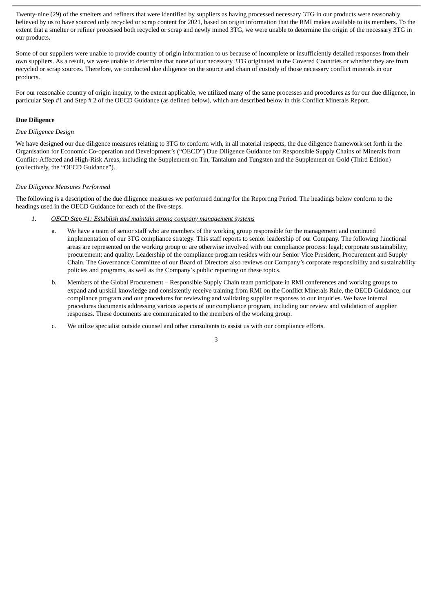Twenty-nine (29) of the smelters and refiners that were identified by suppliers as having processed necessary 3TG in our products were reasonably believed by us to have sourced only recycled or scrap content for 2021, based on origin information that the RMI makes available to its members. To the extent that a smelter or refiner processed both recycled or scrap and newly mined 3TG, we were unable to determine the origin of the necessary 3TG in our products.

Some of our suppliers were unable to provide country of origin information to us because of incomplete or insufficiently detailed responses from their own suppliers. As a result, we were unable to determine that none of our necessary 3TG originated in the Covered Countries or whether they are from recycled or scrap sources. Therefore, we conducted due diligence on the source and chain of custody of those necessary conflict minerals in our products.

For our reasonable country of origin inquiry, to the extent applicable, we utilized many of the same processes and procedures as for our due diligence, in particular Step #1 and Step # 2 of the OECD Guidance (as defined below), which are described below in this Conflict Minerals Report.

#### **Due Diligence**

#### *Due Diligence Design*

We have designed our due diligence measures relating to 3TG to conform with, in all material respects, the due diligence framework set forth in the Organisation for Economic Co-operation and Development's ("OECD") Due Diligence Guidance for Responsible Supply Chains of Minerals from Conflict-Affected and High-Risk Areas, including the Supplement on Tin, Tantalum and Tungsten and the Supplement on Gold (Third Edition) (collectively, the "OECD Guidance").

#### *Due Diligence Measures Performed*

The following is a description of the due diligence measures we performed during/for the Reporting Period. The headings below conform to the headings used in the OECD Guidance for each of the five steps.

- *1. OECD Step #1: Establish and maintain strong company management systems*
	- a. We have a team of senior staff who are members of the working group responsible for the management and continued implementation of our 3TG compliance strategy. This staff reports to senior leadership of our Company. The following functional areas are represented on the working group or are otherwise involved with our compliance process: legal; corporate sustainability; procurement; and quality. Leadership of the compliance program resides with our Senior Vice President, Procurement and Supply Chain. The Governance Committee of our Board of Directors also reviews our Company's corporate responsibility and sustainability policies and programs, as well as the Company's public reporting on these topics.
	- b. Members of the Global Procurement Responsible Supply Chain team participate in RMI conferences and working groups to expand and upskill knowledge and consistently receive training from RMI on the Conflict Minerals Rule, the OECD Guidance, our compliance program and our procedures for reviewing and validating supplier responses to our inquiries. We have internal procedures documents addressing various aspects of our compliance program, including our review and validation of supplier responses. These documents are communicated to the members of the working group.
	- c. We utilize specialist outside counsel and other consultants to assist us with our compliance efforts.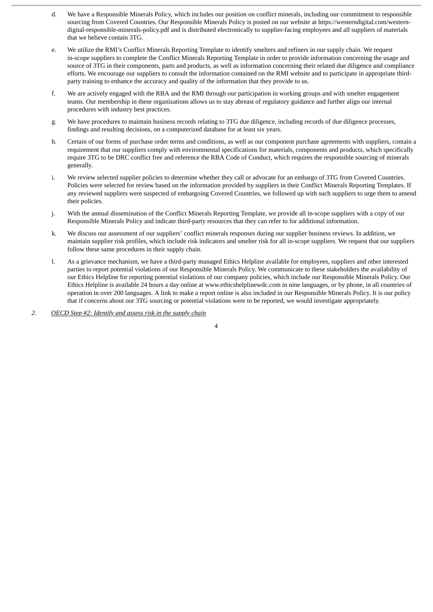- d. We have a Responsible Minerals Policy, which includes our position on conflict minerals, including our commitment to responsible sourcing from Covered Countries. Our Responsible Minerals Policy is posted on our website at https://westerndigital.com/westerndigital-responsible-minerals-policy.pdf and is distributed electronically to supplier-facing employees and all suppliers of materials that we believe contain 3TG.
- e. We utilize the RMI's Conflict Minerals Reporting Template to identify smelters and refiners in our supply chain. We request in-scope suppliers to complete the Conflict Minerals Reporting Template in order to provide information concerning the usage and source of 3TG in their components, parts and products, as well as information concerning their related due diligence and compliance efforts. We encourage our suppliers to consult the information contained on the RMI website and to participate in appropriate thirdparty training to enhance the accuracy and quality of the information that they provide to us.
- f. We are actively engaged with the RBA and the RMI through our participation in working groups and with smelter engagement teams. Our membership in these organizations allows us to stay abreast of regulatory guidance and further align our internal procedures with industry best practices.
- g. We have procedures to maintain business records relating to 3TG due diligence, including records of due diligence processes, findings and resulting decisions, on a computerized database for at least six years.
- h. Certain of our forms of purchase order terms and conditions, as well as our component purchase agreements with suppliers, contain a requirement that our suppliers comply with environmental specifications for materials, components and products, which specifically require 3TG to be DRC conflict free and reference the RBA Code of Conduct, which requires the responsible sourcing of minerals generally.
- i. We review selected supplier policies to determine whether they call or advocate for an embargo of 3TG from Covered Countries. Policies were selected for review based on the information provided by suppliers in their Conflict Minerals Reporting Templates. If any reviewed suppliers were suspected of embargoing Covered Countries, we followed up with such suppliers to urge them to amend their policies.
- j. With the annual dissemination of the Conflict Minerals Reporting Template, we provide all in-scope suppliers with a copy of our Responsible Minerals Policy and indicate third-party resources that they can refer to for additional information.
- k. We discuss our assessment of our suppliers' conflict minerals responses during our supplier business reviews. In addition, we maintain supplier risk profiles, which include risk indicators and smelter risk for all in-scope suppliers. We request that our suppliers follow these same procedures in their supply chain.
- l. As a grievance mechanism, we have a third-party managed Ethics Helpline available for employees, suppliers and other interested parties to report potential violations of our Responsible Minerals Policy. We communicate to these stakeholders the availability of our Ethics Helpline for reporting potential violations of our company policies, which include our Responsible Minerals Policy. Our Ethics Helpline is available 24 hours a day online at www.ethicshelplinewdc.com in nine languages, or by phone, in all countries of operation in over 200 languages. A link to make a report online is also included in our Responsible Minerals Policy. It is our policy that if concerns about our 3TG sourcing or potential violations were to be reported, we would investigate appropriately.
- *2. OECD Step #2: Identify and assess risk in the supply chain*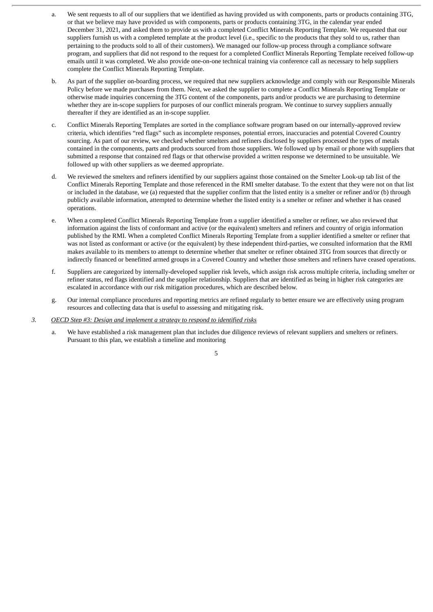- a. We sent requests to all of our suppliers that we identified as having provided us with components, parts or products containing 3TG, or that we believe may have provided us with components, parts or products containing 3TG, in the calendar year ended December 31, 2021, and asked them to provide us with a completed Conflict Minerals Reporting Template. We requested that our suppliers furnish us with a completed template at the product level (i.e., specific to the products that they sold to us, rather than pertaining to the products sold to all of their customers). We managed our follow-up process through a compliance software program, and suppliers that did not respond to the request for a completed Conflict Minerals Reporting Template received follow-up emails until it was completed. We also provide one-on-one technical training via conference call as necessary to help suppliers complete the Conflict Minerals Reporting Template.
- b. As part of the supplier on-boarding process, we required that new suppliers acknowledge and comply with our Responsible Minerals Policy before we made purchases from them. Next, we asked the supplier to complete a Conflict Minerals Reporting Template or otherwise made inquiries concerning the 3TG content of the components, parts and/or products we are purchasing to determine whether they are in-scope suppliers for purposes of our conflict minerals program. We continue to survey suppliers annually thereafter if they are identified as an in-scope supplier.
- c. Conflict Minerals Reporting Templates are sorted in the compliance software program based on our internally-approved review criteria, which identifies "red flags" such as incomplete responses, potential errors, inaccuracies and potential Covered Country sourcing. As part of our review, we checked whether smelters and refiners disclosed by suppliers processed the types of metals contained in the components, parts and products sourced from those suppliers. We followed up by email or phone with suppliers that submitted a response that contained red flags or that otherwise provided a written response we determined to be unsuitable. We followed up with other suppliers as we deemed appropriate.
- d. We reviewed the smelters and refiners identified by our suppliers against those contained on the Smelter Look-up tab list of the Conflict Minerals Reporting Template and those referenced in the RMI smelter database. To the extent that they were not on that list or included in the database, we (a) requested that the supplier confirm that the listed entity is a smelter or refiner and/or (b) through publicly available information, attempted to determine whether the listed entity is a smelter or refiner and whether it has ceased operations.
- e. When a completed Conflict Minerals Reporting Template from a supplier identified a smelter or refiner, we also reviewed that information against the lists of conformant and active (or the equivalent) smelters and refiners and country of origin information published by the RMI. When a completed Conflict Minerals Reporting Template from a supplier identified a smelter or refiner that was not listed as conformant or active (or the equivalent) by these independent third-parties, we consulted information that the RMI makes available to its members to attempt to determine whether that smelter or refiner obtained 3TG from sources that directly or indirectly financed or benefitted armed groups in a Covered Country and whether those smelters and refiners have ceased operations.
- f. Suppliers are categorized by internally-developed supplier risk levels, which assign risk across multiple criteria, including smelter or refiner status, red flags identified and the supplier relationship. Suppliers that are identified as being in higher risk categories are escalated in accordance with our risk mitigation procedures, which are described below.
- g. Our internal compliance procedures and reporting metrics are refined regularly to better ensure we are effectively using program resources and collecting data that is useful to assessing and mitigating risk.
- *3. OECD Step #3: Design and implement a strategy to respond to identified risks*
	- a. We have established a risk management plan that includes due diligence reviews of relevant suppliers and smelters or refiners. Pursuant to this plan, we establish a timeline and monitoring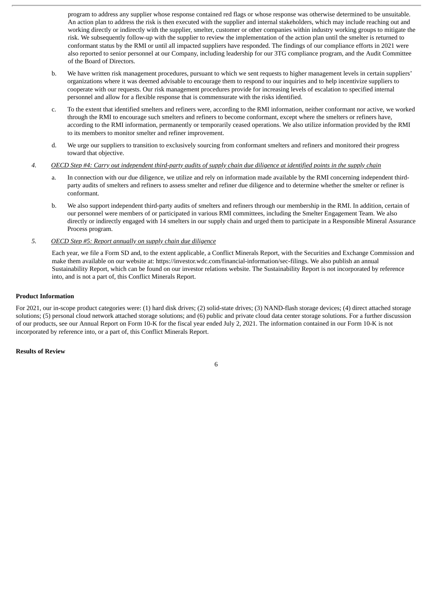program to address any supplier whose response contained red flags or whose response was otherwise determined to be unsuitable. An action plan to address the risk is then executed with the supplier and internal stakeholders, which may include reaching out and working directly or indirectly with the supplier, smelter, customer or other companies within industry working groups to mitigate the risk. We subsequently follow-up with the supplier to review the implementation of the action plan until the smelter is returned to conformant status by the RMI or until all impacted suppliers have responded. The findings of our compliance efforts in 2021 were also reported to senior personnel at our Company, including leadership for our 3TG compliance program, and the Audit Committee of the Board of Directors.

- b. We have written risk management procedures, pursuant to which we sent requests to higher management levels in certain suppliers' organizations where it was deemed advisable to encourage them to respond to our inquiries and to help incentivize suppliers to cooperate with our requests. Our risk management procedures provide for increasing levels of escalation to specified internal personnel and allow for a flexible response that is commensurate with the risks identified.
- c. To the extent that identified smelters and refiners were, according to the RMI information, neither conformant nor active, we worked through the RMI to encourage such smelters and refiners to become conformant, except where the smelters or refiners have, according to the RMI information, permanently or temporarily ceased operations. We also utilize information provided by the RMI to its members to monitor smelter and refiner improvement.
- d. We urge our suppliers to transition to exclusively sourcing from conformant smelters and refiners and monitored their progress toward that objective.
- 4. OECD Step #4: Carry out independent third-party audits of supply chain due diligence at identified points in the supply chain
	- a. In connection with our due diligence, we utilize and rely on information made available by the RMI concerning independent thirdparty audits of smelters and refiners to assess smelter and refiner due diligence and to determine whether the smelter or refiner is conformant.
	- b. We also support independent third-party audits of smelters and refiners through our membership in the RMI. In addition, certain of our personnel were members of or participated in various RMI committees, including the Smelter Engagement Team. We also directly or indirectly engaged with 14 smelters in our supply chain and urged them to participate in a Responsible Mineral Assurance Process program.
- *5. OECD Step #5: Report annually on supply chain due diligence*

Each year, we file a Form SD and, to the extent applicable, a Conflict Minerals Report, with the Securities and Exchange Commission and make them available on our website at: https://investor.wdc.com/financial-information/sec-filings. We also publish an annual Sustainability Report, which can be found on our investor relations website. The Sustainability Report is not incorporated by reference into, and is not a part of, this Conflict Minerals Report.

#### **Product Information**

For 2021, our in-scope product categories were: (1) hard disk drives; (2) solid-state drives; (3) NAND-flash storage devices; (4) direct attached storage solutions; (5) personal cloud network attached storage solutions; and (6) public and private cloud data center storage solutions. For a further discussion of our products, see our Annual Report on Form 10-K for the fiscal year ended July 2, 2021. The information contained in our Form 10-K is not incorporated by reference into, or a part of, this Conflict Minerals Report.

## **Results of Review**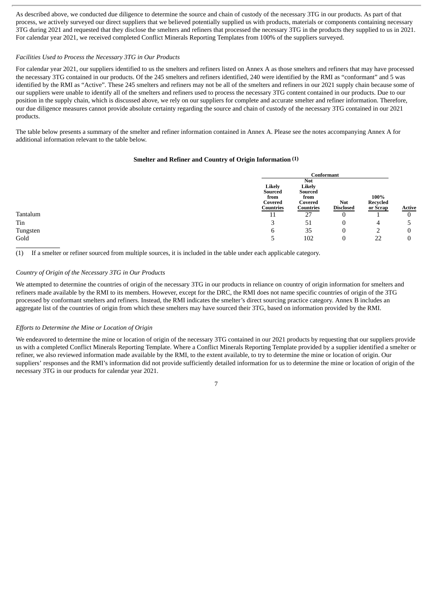As described above, we conducted due diligence to determine the source and chain of custody of the necessary 3TG in our products. As part of that process, we actively surveyed our direct suppliers that we believed potentially supplied us with products, materials or components containing necessary 3TG during 2021 and requested that they disclose the smelters and refiners that processed the necessary 3TG in the products they supplied to us in 2021. For calendar year 2021, we received completed Conflict Minerals Reporting Templates from 100% of the suppliers surveyed.

#### *Facilities Used to Process the Necessary 3TG in Our Products*

For calendar year 2021, our suppliers identified to us the smelters and refiners listed on Annex A as those smelters and refiners that may have processed the necessary 3TG contained in our products. Of the 245 smelters and refiners identified, 240 were identified by the RMI as "conformant" and 5 was identified by the RMI as "Active". These 245 smelters and refiners may not be all of the smelters and refiners in our 2021 supply chain because some of our suppliers were unable to identify all of the smelters and refiners used to process the necessary 3TG content contained in our products. Due to our position in the supply chain, which is discussed above, we rely on our suppliers for complete and accurate smelter and refiner information. Therefore, our due diligence measures cannot provide absolute certainty regarding the source and chain of custody of the necessary 3TG contained in our 2021 products.

The table below presents a summary of the smelter and refiner information contained in Annex A. Please see the notes accompanying Annex A for additional information relevant to the table below.

#### **Smelter and Refiner and Country of Origin Information (1)**

|                      | Conformant |                  |          |               |
|----------------------|------------|------------------|----------|---------------|
|                      | <b>Not</b> |                  |          |               |
| Likely               | Likely     |                  |          |               |
| Sourced              | Sourced    |                  |          |               |
| from                 | from       |                  | 100%     |               |
| Covered<br>Countries | Covered    | <b>Not</b>       | Recycled |               |
|                      | Countries  | <b>Disclosed</b> | or Scrap | <b>Active</b> |
| 11                   | 27         | 0                |          |               |
| っ<br>ر               | 51         | 0                | 4        |               |
| b                    | 35         | 0                |          |               |
| ر                    | 102        | $\mathbf{0}$     | 22       |               |

(1) If a smelter or refiner sourced from multiple sources, it is included in the table under each applicable category.

#### *Country of Origin of the Necessary 3TG in Our Products*

We attempted to determine the countries of origin of the necessary 3TG in our products in reliance on country of origin information for smelters and refiners made available by the RMI to its members. However, except for the DRC, the RMI does not name specific countries of origin of the 3TG processed by conformant smelters and refiners. Instead, the RMI indicates the smelter's direct sourcing practice category. Annex B includes an aggregate list of the countries of origin from which these smelters may have sourced their 3TG, based on information provided by the RMI.

#### *Efforts to Determine the Mine or Location of Origin*

We endeavored to determine the mine or location of origin of the necessary 3TG contained in our 2021 products by requesting that our suppliers provide us with a completed Conflict Minerals Reporting Template. Where a Conflict Minerals Reporting Template provided by a supplier identified a smelter or refiner, we also reviewed information made available by the RMI, to the extent available, to try to determine the mine or location of origin. Our suppliers' responses and the RMI's information did not provide sufficiently detailed information for us to determine the mine or location of origin of the necessary 3TG in our products for calendar year 2021.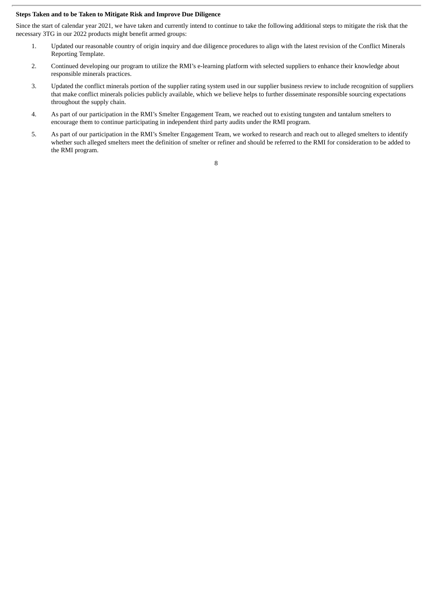#### **Steps Taken and to be Taken to Mitigate Risk and Improve Due Diligence**

Since the start of calendar year 2021, we have taken and currently intend to continue to take the following additional steps to mitigate the risk that the necessary 3TG in our 2022 products might benefit armed groups:

- 1. Updated our reasonable country of origin inquiry and due diligence procedures to align with the latest revision of the Conflict Minerals Reporting Template.
- 2. Continued developing our program to utilize the RMI's e-learning platform with selected suppliers to enhance their knowledge about responsible minerals practices.
- 3. Updated the conflict minerals portion of the supplier rating system used in our supplier business review to include recognition of suppliers that make conflict minerals policies publicly available, which we believe helps to further disseminate responsible sourcing expectations throughout the supply chain.
- 4. As part of our participation in the RMI's Smelter Engagement Team, we reached out to existing tungsten and tantalum smelters to encourage them to continue participating in independent third party audits under the RMI program.
- 5. As part of our participation in the RMI's Smelter Engagement Team, we worked to research and reach out to alleged smelters to identify whether such alleged smelters meet the definition of smelter or refiner and should be referred to the RMI for consideration to be added to the RMI program.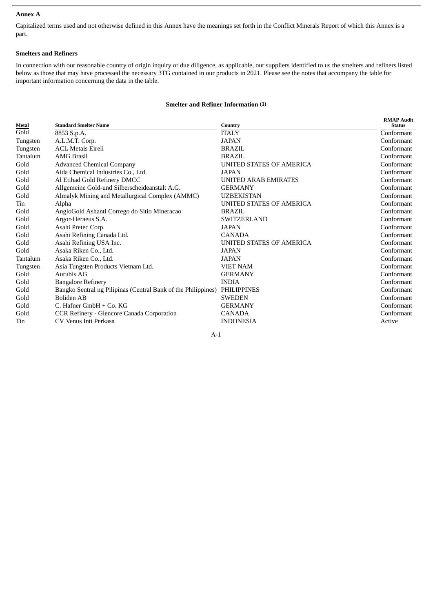# **Annex A**

Capitalized terms used and not otherwise defined in this Annex have the meanings set forth in the Conflict Minerals Report of which this Annex is a part.

# **Smelters and Refiners**

In connection with our reasonable country of origin inquiry or due diligence, as applicable, our suppliers identified to us the smelters and refiners listed below as those that may have processed the necessary 3TG contained in our products in 2021. Please see the notes that accompany the table for important information concerning the data in the table.

# **Smelter and Refiner Information (1)**

| Metal    | <b>Standard Smelter Name</b>                                  | Country                     | <b>RMAP Audit</b><br><b>Status</b> |
|----------|---------------------------------------------------------------|-----------------------------|------------------------------------|
| Gold     | 8853 S.p.A.                                                   | <b>ITALY</b>                | Conformant                         |
| Tungsten | A.L.M.T. Corp.                                                | <b>JAPAN</b>                | Conformant                         |
| Tungsten | <b>ACL Metais Eireli</b>                                      | <b>BRAZIL</b>               | Conformant                         |
| Tantalum | <b>AMG Brasil</b>                                             | <b>BRAZIL</b>               | Conformant                         |
| Gold     | <b>Advanced Chemical Company</b>                              | UNITED STATES OF AMERICA    | Conformant                         |
| Gold     | Aida Chemical Industries Co., Ltd.                            | <b>JAPAN</b>                | Conformant                         |
| Gold     | Al Etihad Gold Refinery DMCC                                  | <b>UNITED ARAB EMIRATES</b> | Conformant                         |
| Gold     | Allgemeine Gold-und Silberscheideanstalt A.G.                 | <b>GERMANY</b>              | Conformant                         |
| Gold     | Almalyk Mining and Metallurgical Complex (AMMC)               | UZBEKISTAN                  | Conformant                         |
| Tin      | Alpha                                                         | UNITED STATES OF AMERICA    | Conformant                         |
| Gold     | AngloGold Ashanti Corrego do Sitio Mineracao                  | <b>BRAZIL</b>               | Conformant                         |
| Gold     | Argor-Heraeus S.A.                                            | <b>SWITZERLAND</b>          | Conformant                         |
| Gold     | Asahi Pretec Corp.                                            | <b>JAPAN</b>                | Conformant                         |
| Gold     | Asahi Refining Canada Ltd.                                    | CANADA                      | Conformant                         |
| Gold     | Asahi Refining USA Inc.                                       | UNITED STATES OF AMERICA    | Conformant                         |
| Gold     | Asaka Riken Co., Ltd.                                         | <b>JAPAN</b>                | Conformant                         |
| Tantalum | Asaka Riken Co., Ltd.                                         | <b>JAPAN</b>                | Conformant                         |
| Tungsten | Asia Tungsten Products Vietnam Ltd.                           | <b>VIET NAM</b>             | Conformant                         |
| Gold     | Aurubis AG                                                    | <b>GERMANY</b>              | Conformant                         |
| Gold     | <b>Bangalore Refinery</b>                                     | <b>INDIA</b>                | Conformant                         |
| Gold     | Bangko Sentral ng Pilipinas (Central Bank of the Philippines) | <b>PHILIPPINES</b>          | Conformant                         |
| Gold     | Boliden AB                                                    | <b>SWEDEN</b>               | Conformant                         |
| Gold     | C. Hafner GmbH + Co. KG                                       | <b>GERMANY</b>              | Conformant                         |
| Gold     | CCR Refinery - Glencore Canada Corporation                    | <b>CANADA</b>               | Conformant                         |
| Tin      | CV Venus Inti Perkasa                                         | <b>INDONESIA</b>            | Active                             |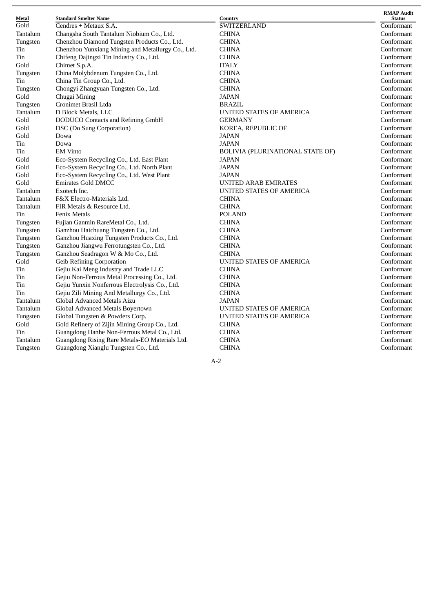| Metal    | <b>Standard Smelter Name</b>                      | Country                                 | <b>RMAP Audit</b><br><b>Status</b> |
|----------|---------------------------------------------------|-----------------------------------------|------------------------------------|
| Gold     | Cendres + Metaux S.A.                             | SWITZERLAND                             | Conformant                         |
| Tantalum | Changsha South Tantalum Niobium Co., Ltd.         | <b>CHINA</b>                            | Conformant                         |
| Tungsten | Chenzhou Diamond Tungsten Products Co., Ltd.      | <b>CHINA</b>                            | Conformant                         |
| Tin      | Chenzhou Yunxiang Mining and Metallurgy Co., Ltd. | <b>CHINA</b>                            | Conformant                         |
| Tin      | Chifeng Dajingzi Tin Industry Co., Ltd.           | <b>CHINA</b>                            | Conformant                         |
| Gold     | Chimet S.p.A.                                     | <b>ITALY</b>                            | Conformant                         |
| Tungsten | China Molybdenum Tungsten Co., Ltd.               | <b>CHINA</b>                            | Conformant                         |
| Tin      | China Tin Group Co., Ltd.                         | <b>CHINA</b>                            | Conformant                         |
| Tungsten | Chongyi Zhangyuan Tungsten Co., Ltd.              | <b>CHINA</b>                            | Conformant                         |
| Gold     | Chugai Mining                                     | <b>JAPAN</b>                            | Conformant                         |
| Tungsten | Cronimet Brasil Ltda                              | <b>BRAZIL</b>                           | Conformant                         |
| Tantalum | D Block Metals, LLC                               | UNITED STATES OF AMERICA                | Conformant                         |
| Gold     | <b>DODUCO</b> Contacts and Refining GmbH          | <b>GERMANY</b>                          | Conformant                         |
| Gold     | DSC (Do Sung Corporation)                         | KOREA, REPUBLIC OF                      | Conformant                         |
| Gold     | Dowa                                              | <b>JAPAN</b>                            | Conformant                         |
| Tin      | Dowa                                              | <b>JAPAN</b>                            | Conformant                         |
| Tin      | <b>EM Vinto</b>                                   | <b>BOLIVIA (PLURINATIONAL STATE OF)</b> | Conformant                         |
| Gold     | Eco-System Recycling Co., Ltd. East Plant         | <b>JAPAN</b>                            | Conformant                         |
| Gold     | Eco-System Recycling Co., Ltd. North Plant        | <b>JAPAN</b>                            | Conformant                         |
| Gold     | Eco-System Recycling Co., Ltd. West Plant         | <b>JAPAN</b>                            | Conformant                         |
| Gold     | <b>Emirates Gold DMCC</b>                         | <b>UNITED ARAB EMIRATES</b>             | Conformant                         |
| Tantalum | Exotech Inc.                                      | UNITED STATES OF AMERICA                | Conformant                         |
| Tantalum | F&X Electro-Materials Ltd.                        | <b>CHINA</b>                            | Conformant                         |
| Tantalum | FIR Metals & Resource Ltd.                        | <b>CHINA</b>                            | Conformant                         |
| Tin      | <b>Fenix Metals</b>                               | <b>POLAND</b>                           | Conformant                         |
| Tungsten | Fujian Ganmin RareMetal Co., Ltd.                 | <b>CHINA</b>                            | Conformant                         |
| Tungsten | Ganzhou Haichuang Tungsten Co., Ltd.              | <b>CHINA</b>                            | Conformant                         |
| Tungsten | Ganzhou Huaxing Tungsten Products Co., Ltd.       | <b>CHINA</b>                            | Conformant                         |
| Tungsten | Ganzhou Jiangwu Ferrotungsten Co., Ltd.           | <b>CHINA</b>                            | Conformant                         |
| Tungsten | Ganzhou Seadragon W & Mo Co., Ltd.                | <b>CHINA</b>                            | Conformant                         |
| Gold     | <b>Geib Refining Corporation</b>                  | <b>UNITED STATES OF AMERICA</b>         | Conformant                         |
| Tin      | Gejiu Kai Meng Industry and Trade LLC             | <b>CHINA</b>                            | Conformant                         |
| Tin      | Gejiu Non-Ferrous Metal Processing Co., Ltd.      | <b>CHINA</b>                            | Conformant                         |
| Tin      | Gejiu Yunxin Nonferrous Electrolysis Co., Ltd.    | <b>CHINA</b>                            | Conformant                         |
| Tin      | Gejiu Zili Mining And Metallurgy Co., Ltd.        | <b>CHINA</b>                            | Conformant                         |
| Tantalum | Global Advanced Metals Aizu                       | <b>JAPAN</b>                            | Conformant                         |
| Tantalum | Global Advanced Metals Boyertown                  | UNITED STATES OF AMERICA                | Conformant                         |
| Tungsten | Global Tungsten & Powders Corp.                   | UNITED STATES OF AMERICA                | Conformant                         |
| Gold     | Gold Refinery of Zijin Mining Group Co., Ltd.     | <b>CHINA</b>                            | Conformant                         |
| Tin      | Guangdong Hanhe Non-Ferrous Metal Co., Ltd.       | <b>CHINA</b>                            | Conformant                         |
| Tantalum | Guangdong Rising Rare Metals-EO Materials Ltd.    | <b>CHINA</b>                            | Conformant                         |
| Tungsten | Guangdong Xianglu Tungsten Co., Ltd.              | <b>CHINA</b>                            | Conformant                         |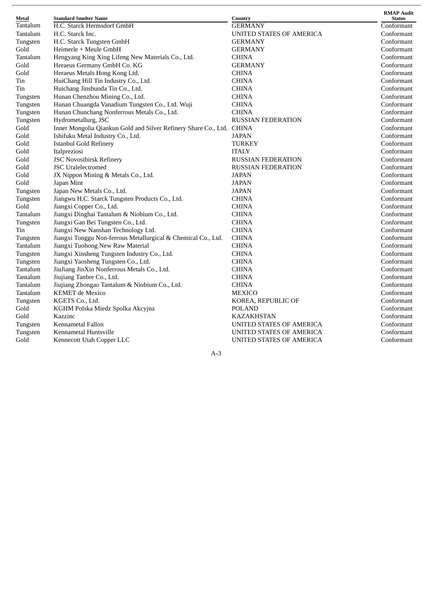| Metal    | <b>Standard Smelter Name</b>                                    | Country                         | <b>RMAP Audit</b><br><b>Status</b> |
|----------|-----------------------------------------------------------------|---------------------------------|------------------------------------|
| Tantalum | H.C. Starck Hermsdorf GmbH                                      | <b>GERMANY</b>                  | Conformant                         |
| Tantalum | H.C. Starck Inc.                                                | UNITED STATES OF AMERICA        | Conformant                         |
| Tungsten | H.C. Starck Tungsten GmbH                                       | <b>GERMANY</b>                  | Conformant                         |
| Gold     | Heimerle + Meule GmbH                                           | <b>GERMANY</b>                  | Conformant                         |
| Tantalum | Hengyang King Xing Lifeng New Materials Co., Ltd.               | <b>CHINA</b>                    | Conformant                         |
| Gold     | Heraeus Germany GmbH Co. KG                                     | <b>GERMANY</b>                  | Conformant                         |
| Gold     | Heraeus Metals Hong Kong Ltd.                                   | <b>CHINA</b>                    | Conformant                         |
| Tin      | HuiChang Hill Tin Industry Co., Ltd.                            | <b>CHINA</b>                    | Conformant                         |
| Tin      | Huichang Jinshunda Tin Co., Ltd.                                | <b>CHINA</b>                    | Conformant                         |
| Tungsten | Hunan Chenzhou Mining Co., Ltd.                                 | <b>CHINA</b>                    | Conformant                         |
| Tungsten | Hunan Chuangda Vanadium Tungsten Co., Ltd. Wuji                 | <b>CHINA</b>                    | Conformant                         |
| Tungsten | Hunan Chunchang Nonferrous Metals Co., Ltd.                     | <b>CHINA</b>                    | Conformant                         |
| Tungsten | Hydrometallurg, JSC                                             | <b>RUSSIAN FEDERATION</b>       | Conformant                         |
| Gold     | Inner Mongolia Qiankun Gold and Silver Refinery Share Co., Ltd. | <b>CHINA</b>                    | Conformant                         |
| Gold     | Ishifuku Metal Industry Co., Ltd.                               | <b>JAPAN</b>                    | Conformant                         |
| Gold     | <b>Istanbul Gold Refinery</b>                                   | <b>TURKEY</b>                   | Conformant                         |
| Gold     | Italpreziosi                                                    | <b>ITALY</b>                    | Conformant                         |
| Gold     | <b>JSC Novosibirsk Refinery</b>                                 | <b>RUSSIAN FEDERATION</b>       | Conformant                         |
| Gold     | <b>JSC</b> Uralelectromed                                       | <b>RUSSIAN FEDERATION</b>       | Conformant                         |
| Gold     | JX Nippon Mining & Metals Co., Ltd.                             | <b>JAPAN</b>                    | Conformant                         |
| Gold     | Japan Mint                                                      | <b>JAPAN</b>                    | Conformant                         |
| Tungsten | Japan New Metals Co., Ltd.                                      | JAPAN                           | Conformant                         |
| Tungsten | Jiangwu H.C. Starck Tungsten Products Co., Ltd.                 | <b>CHINA</b>                    | Conformant                         |
| Gold     | Jiangxi Copper Co., Ltd.                                        | <b>CHINA</b>                    | Conformant                         |
| Tantalum | Jiangxi Dinghai Tantalum & Niobium Co., Ltd.                    | <b>CHINA</b>                    | Conformant                         |
| Tungsten | Jiangxi Gan Bei Tungsten Co., Ltd.                              | <b>CHINA</b>                    | Conformant                         |
| Tin      | Jiangxi New Nanshan Technology Ltd.                             | <b>CHINA</b>                    | Conformant                         |
| Tungsten | Jiangxi Tonggu Non-ferrous Metallurgical & Chemical Co., Ltd.   | <b>CHINA</b>                    | Conformant                         |
| Tantalum | Jiangxi Tuohong New Raw Material                                | <b>CHINA</b>                    | Conformant                         |
| Tungsten | Jiangxi Xinsheng Tungsten Industry Co., Ltd.                    | <b>CHINA</b>                    | Conformant                         |
| Tungsten | Jiangxi Yaosheng Tungsten Co., Ltd.                             | <b>CHINA</b>                    | Conformant                         |
| Tantalum | JiuJiang JinXin Nonferrous Metals Co., Ltd.                     | <b>CHINA</b>                    | Conformant                         |
| Tantalum | Jiujiang Tanbre Co., Ltd.                                       | <b>CHINA</b>                    | Conformant                         |
| Tantalum | Jiujiang Zhongao Tantalum & Niobium Co., Ltd.                   | <b>CHINA</b>                    | Conformant                         |
| Tantalum | <b>KEMET</b> de Mexico                                          | <b>MEXICO</b>                   | Conformant                         |
| Tungsten | KGETS Co., Ltd.                                                 | KOREA, REPUBLIC OF              | Conformant                         |
| Gold     | KGHM Polska Miedz Spolka Akcyjna                                | <b>POLAND</b>                   | Conformant                         |
| Gold     | Kazzinc                                                         | <b>KAZAKHSTAN</b>               | Conformant                         |
| Tungsten | Kennametal Fallon                                               | UNITED STATES OF AMERICA        | Conformant                         |
| Tungsten | Kennametal Huntsville                                           | UNITED STATES OF AMERICA        | Conformant                         |
| Gold     | Kennecott Utah Copper LLC                                       | <b>UNITED STATES OF AMERICA</b> | Conformant                         |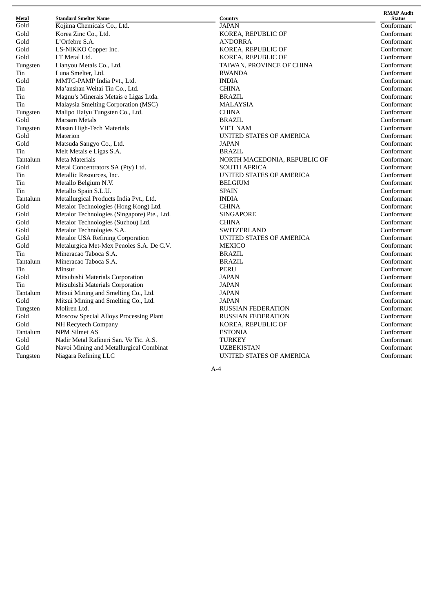| Metal    | <b>Standard Smelter Name</b>                | Country          |
|----------|---------------------------------------------|------------------|
| Gold     | Kojima Chemicals Co., Ltd.                  | JAPAN            |
| Gold     | Korea Zinc Co., Ltd.                        | KOREA, R         |
| Gold     | L'Orfebre S.A.                              | ANDORRA          |
| Gold     | LS-NIKKO Copper Inc.                        | KOREA, R         |
| Gold     | LT Metal Ltd.                               | KOREA, R         |
| Tungsten | Lianyou Metals Co., Ltd.                    | TAIWAN, I        |
| Tin      | Luna Smelter, Ltd.                          | <b>RWANDA</b>    |
| Gold     | MMTC-PAMP India Pvt., Ltd.                  | <b>INDIA</b>     |
| Tin      | Ma'anshan Weitai Tin Co., Ltd.              | CHINA            |
| Tin      | Magnu's Minerais Metais e Ligas Ltda.       | <b>BRAZIL</b>    |
| Tin      | Malaysia Smelting Corporation (MSC)         | MALAYSL          |
| Tungsten | Malipo Haiyu Tungsten Co., Ltd.             | CHINA            |
| Gold     | <b>Marsam Metals</b>                        | <b>BRAZIL</b>    |
| Tungsten | Masan High-Tech Materials                   | <b>VIET NAM</b>  |
| Gold     | Materion                                    | UNITED S'        |
| Gold     | Matsuda Sangyo Co., Ltd.                    | JAPAN            |
| Tin      | Melt Metais e Ligas S.A.                    | <b>BRAZIL</b>    |
| Tantalum | Meta Materials                              | NORTH M.         |
| Gold     | Metal Concentrators SA (Pty) Ltd.           | <b>SOUTH AF</b>  |
| Tin      | Metallic Resources, Inc.                    | UNITED S'        |
| Tin      | Metallo Belgium N.V.                        | <b>BELGIUM</b>   |
| Tin      | Metallo Spain S.L.U.                        | <b>SPAIN</b>     |
| Tantalum | Metallurgical Products India Pvt., Ltd.     | <b>INDIA</b>     |
| Gold     | Metalor Technologies (Hong Kong) Ltd.       | CHINA            |
| Gold     | Metalor Technologies (Singapore) Pte., Ltd. | <b>SINGAPOE</b>  |
| Gold     | Metalor Technologies (Suzhou) Ltd.          | <b>CHINA</b>     |
| Gold     | Metalor Technologies S.A.                   | SWITZERI         |
| Gold     | <b>Metalor USA Refining Corporation</b>     | <b>UNITED ST</b> |
| Gold     | Metalurgica Met-Mex Penoles S.A. De C.V.    | <b>MEXICO</b>    |
| Tin      | Mineracao Taboca S.A.                       | <b>BRAZIL</b>    |
| Tantalum | Mineracao Taboca S.A.                       | BRAZIL           |
| Tin      | Minsur                                      | PERU             |
| Gold     | Mitsubishi Materials Corporation            | JAPAN            |
| Tin      | Mitsubishi Materials Corporation            | JAPAN            |
| Tantalum | Mitsui Mining and Smelting Co., Ltd.        | <b>JAPAN</b>     |
| Gold     | Mitsui Mining and Smelting Co., Ltd.        | JAPAN            |
| Tungsten | Moliren Ltd.                                | <b>RUSSIAN</b>   |
| Gold     | Moscow Special Alloys Processing Plant      | <b>RUSSIAN</b>   |
| Gold     | NH Recytech Company                         | KOREA, R         |
| Tantalum | <b>NPM Silmet AS</b>                        | <b>ESTONIA</b>   |
| Gold     | Nadir Metal Rafineri San. Ve Tic. A.S.      | TURKEY           |
| Gold     | Navoi Mining and Metallurgical Combinat     | UZBEKIST         |
| Tungsten | Niagara Refining LLC                        | UNITED S'        |
|          |                                             |                  |

**C o u n t r y** A PA N OREA, REPUBLIC OF N D O R R A OREA, REPUBLIC OF OREA, REPUBLIC OF d. TAIWAN, PROVINCE OF CHINA N D I A H I N A R A Z I L M A L AY S I A H I N A B R A Z I L VIET NAM UNITED STATES OF AMERICA A PA N R A Z I L NORTH MACEDONIA, REPUBLIC OF OUTH AFRICA NITED STATES OF AMERICA E L G I U M PA I N N D I A d. CHINA d. SINGAPORE H I N A WITZERLAND UNITED STATES OF AMERICA C.V. MEXICO R A Z I L R A Z I L P E R U J A PA N J A PA N A PA N A PA N USSIAN FEDERATION RUSSIAN FEDERATION KOREA, REPUBLIC OF E S T O N I A URKEY UZBEKISTAN UNITED STATES OF AMERICA

**RMAP** Audit **S t a t u s** Conformant Conformant Conformant Conformant Conformant Conformant Conformant Conformant Conformant Conformant Conformant Conformant Conformant Conformant Conformant Conformant Conformant Conformant Conformant Conformant Conformant Conformant Conformant Conformant Conformant Conformant Conformant Conformant Conformant Conformant Conformant Conformant Conformant Conformant Conformant Conformant Conformant Conformant Conformant Conformant Conformant Conformant Conformant

 $A - 4$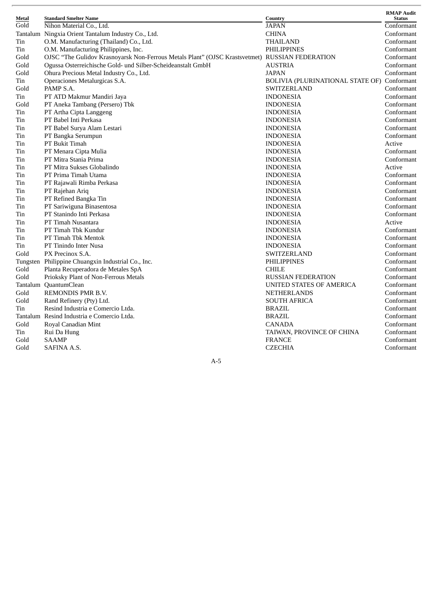| Metal | <b>Standard Smelter Name</b>                                                                   | Country                          | <b>RMAP Audit</b><br><b>Status</b> |
|-------|------------------------------------------------------------------------------------------------|----------------------------------|------------------------------------|
| Gold  | Nihon Material Co., Ltd.                                                                       | <b>JAPAN</b>                     | Conformant                         |
|       | Tantalum Ningxia Orient Tantalum Industry Co., Ltd.                                            | <b>CHINA</b>                     | Conformant                         |
| Tin   | O.M. Manufacturing (Thailand) Co., Ltd.                                                        | THAILAND                         | Conformant                         |
| Tin   | O.M. Manufacturing Philippines, Inc.                                                           | <b>PHILIPPINES</b>               | Conformant                         |
| Gold  | OJSC "The Gulidov Krasnoyarsk Non-Ferrous Metals Plant" (OJSC Krastsvetmet) RUSSIAN FEDERATION |                                  | Conformant                         |
| Gold  | Ogussa Osterreichische Gold- und Silber-Scheideanstalt GmbH                                    | <b>AUSTRIA</b>                   | Conformant                         |
| Gold  | Ohura Precious Metal Industry Co., Ltd.                                                        | <b>JAPAN</b>                     | Conformant                         |
| Tin   | Operaciones Metalurgicas S.A.                                                                  | BOLIVIA (PLURINATIONAL STATE OF) | Conformant                         |
| Gold  | PAMP S.A.                                                                                      | SWITZERLAND                      | Conformant                         |
| Tin   | PT ATD Makmur Mandiri Jaya                                                                     | <b>INDONESIA</b>                 | Conformant                         |
| Gold  | PT Aneka Tambang (Persero) Tbk                                                                 | <b>INDONESIA</b>                 | Conformant                         |
| Tin   | PT Artha Cipta Langgeng                                                                        | <b>INDONESIA</b>                 | Conformant                         |
| Tin   | PT Babel Inti Perkasa                                                                          | <b>INDONESIA</b>                 | Conformant                         |
| Tin   | PT Babel Surya Alam Lestari                                                                    | <b>INDONESIA</b>                 | Conformant                         |
| Tin   | PT Bangka Serumpun                                                                             | <b>INDONESIA</b>                 | Conformant                         |
| Tin   | PT Bukit Timah                                                                                 | <b>INDONESIA</b>                 | Active                             |
| Tin   | PT Menara Cipta Mulia                                                                          | <b>INDONESIA</b>                 | Conformant                         |
| Tin   | PT Mitra Stania Prima                                                                          | <b>INDONESIA</b>                 | Conformant                         |
| Tin   | PT Mitra Sukses Globalindo                                                                     | <b>INDONESIA</b>                 | Active                             |
| Tin   | PT Prima Timah Utama                                                                           | <b>INDONESIA</b>                 | Conformant                         |
| Tin   | PT Rajawali Rimba Perkasa                                                                      | <b>INDONESIA</b>                 | Conformant                         |
| Tin   | PT Rajehan Ariq                                                                                | <b>INDONESIA</b>                 | Conformant                         |
| Tin   | PT Refined Bangka Tin                                                                          | <b>INDONESIA</b>                 | Conformant                         |
| Tin   | PT Sariwiguna Binasentosa                                                                      | <b>INDONESIA</b>                 | Conformant                         |
| Tin   | PT Stanindo Inti Perkasa                                                                       | <b>INDONESIA</b>                 | Conformant                         |
| Tin   | PT Timah Nusantara                                                                             | <b>INDONESIA</b>                 | Active                             |
| Tin   | PT Timah Tbk Kundur                                                                            | <b>INDONESIA</b>                 | Conformant                         |
| Tin   | PT Timah Tbk Mentok                                                                            | <b>INDONESIA</b>                 | Conformant                         |
| Tin   | PT Tinindo Inter Nusa                                                                          | <b>INDONESIA</b>                 | Conformant                         |
| Gold  | PX Precinox S.A.                                                                               | SWITZERLAND                      | Conformant                         |
|       | Tungsten Philippine Chuangxin Industrial Co., Inc.                                             | <b>PHILIPPINES</b>               | Conformant                         |
| Gold  | Planta Recuperadora de Metales SpA                                                             | <b>CHILE</b>                     | Conformant                         |
| Gold  | Prioksky Plant of Non-Ferrous Metals                                                           | <b>RUSSIAN FEDERATION</b>        | Conformant                         |
|       | Tantalum QuantumClean                                                                          | UNITED STATES OF AMERICA         | Conformant                         |
| Gold  | REMONDIS PMR B.V.                                                                              | <b>NETHERLANDS</b>               | Conformant                         |
| Gold  | Rand Refinery (Pty) Ltd.                                                                       | <b>SOUTH AFRICA</b>              | Conformant                         |
| Tin   | Resind Industria e Comercio Ltda.                                                              | <b>BRAZIL</b>                    | Conformant                         |
|       | Tantalum Resind Industria e Comercio Ltda.                                                     | <b>BRAZIL</b>                    | Conformant                         |
| Gold  | Royal Canadian Mint                                                                            | CANADA                           | Conformant                         |
| Tin   | Rui Da Hung                                                                                    | TAIWAN, PROVINCE OF CHINA        | Conformant                         |
| Gold  | <b>SAAMP</b>                                                                                   | <b>FRANCE</b>                    | Conformant                         |
| Gold  | SAFINA A.S.                                                                                    | <b>CZECHIA</b>                   | Conformant                         |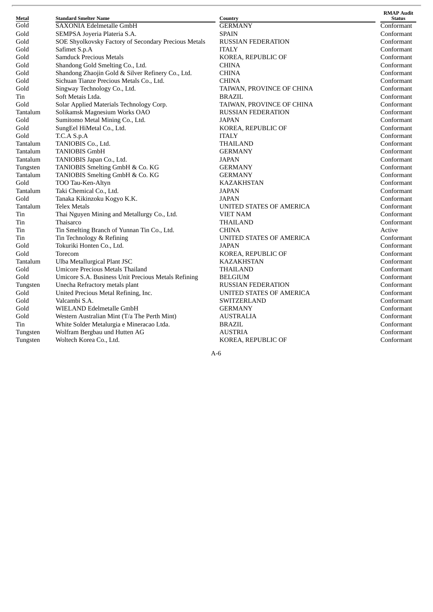| Metal    | <b>Standard Smelter Name</b>                         | Country                         | <b>RMAP Audit</b><br><b>Status</b> |
|----------|------------------------------------------------------|---------------------------------|------------------------------------|
| Gold     | <b>SAXONIA Edelmetalle GmbH</b>                      | <b>GERMANY</b>                  | Conformant                         |
| Gold     | SEMPSA Joyeria Plateria S.A.                         | <b>SPAIN</b>                    | Conformant                         |
| Gold     | SOE Shyolkovsky Factory of Secondary Precious Metals | <b>RUSSIAN FEDERATION</b>       | Conformant                         |
| Gold     | Safimet S.p.A                                        | <b>ITALY</b>                    | Conformant                         |
| Gold     | <b>Samduck Precious Metals</b>                       | KOREA, REPUBLIC OF              | Conformant                         |
| Gold     | Shandong Gold Smelting Co., Ltd.                     | <b>CHINA</b>                    | Conformant                         |
| Gold     | Shandong Zhaojin Gold & Silver Refinery Co., Ltd.    | <b>CHINA</b>                    | Conformant                         |
| Gold     | Sichuan Tianze Precious Metals Co., Ltd.             | <b>CHINA</b>                    | Conformant                         |
| Gold     | Singway Technology Co., Ltd.                         | TAIWAN, PROVINCE OF CHINA       | Conformant                         |
| Tin      | Soft Metais Ltda.                                    | <b>BRAZIL</b>                   | Conformant                         |
| Gold     | Solar Applied Materials Technology Corp.             | TAIWAN, PROVINCE OF CHINA       | Conformant                         |
| Tantalum | Solikamsk Magnesium Works OAO                        | <b>RUSSIAN FEDERATION</b>       | Conformant                         |
| Gold     | Sumitomo Metal Mining Co., Ltd.                      | <b>JAPAN</b>                    | Conformant                         |
| Gold     | SungEel HiMetal Co., Ltd.                            | KOREA, REPUBLIC OF              | Conformant                         |
| Gold     | T.C.A S.p.A                                          | <b>ITALY</b>                    | Conformant                         |
| Tantalum | TANIOBIS Co., Ltd.                                   | THAILAND                        | Conformant                         |
| Tantalum | <b>TANIOBIS GmbH</b>                                 | <b>GERMANY</b>                  | Conformant                         |
| Tantalum | TANIOBIS Japan Co., Ltd.                             | JAPAN                           | Conformant                         |
| Tungsten | TANIOBIS Smelting GmbH & Co. KG                      | <b>GERMANY</b>                  | Conformant                         |
| Tantalum | TANIOBIS Smelting GmbH & Co. KG                      | <b>GERMANY</b>                  | Conformant                         |
| Gold     | TOO Tau-Ken-Altyn                                    | <b>KAZAKHSTAN</b>               | Conformant                         |
| Tantalum | Taki Chemical Co., Ltd.                              | JAPAN                           | Conformant                         |
| Gold     | Tanaka Kikinzoku Kogyo K.K.                          | <b>JAPAN</b>                    | Conformant                         |
| Tantalum | <b>Telex Metals</b>                                  | UNITED STATES OF AMERICA        | Conformant                         |
| Tin      | Thai Nguyen Mining and Metallurgy Co., Ltd.          | <b>VIET NAM</b>                 | Conformant                         |
| Tin      | Thaisarco                                            | THAILAND                        | Conformant                         |
| Tin      | Tin Smelting Branch of Yunnan Tin Co., Ltd.          | <b>CHINA</b>                    | Active                             |
| Tin      | Tin Technology & Refining                            | UNITED STATES OF AMERICA        | Conformant                         |
| Gold     | Tokuriki Honten Co., Ltd.                            | <b>JAPAN</b>                    | Conformant                         |
| Gold     | Torecom                                              | KOREA, REPUBLIC OF              | Conformant                         |
| Tantalum | Ulba Metallurgical Plant JSC                         | <b>KAZAKHSTAN</b>               | Conformant                         |
| Gold     | <b>Umicore Precious Metals Thailand</b>              | THAILAND                        | Conformant                         |
| Gold     | Umicore S.A. Business Unit Precious Metals Refining  | <b>BELGIUM</b>                  | Conformant                         |
| Tungsten | Unecha Refractory metals plant                       | <b>RUSSIAN FEDERATION</b>       | Conformant                         |
| Gold     | United Precious Metal Refining, Inc.                 | <b>UNITED STATES OF AMERICA</b> | Conformant                         |
| Gold     | Valcambi S.A.                                        | SWITZERLAND                     | Conformant                         |
| Gold     | WIELAND Edelmetalle GmbH                             | <b>GERMANY</b>                  | Conformant                         |
| Gold     | Western Australian Mint (T/a The Perth Mint)         | AUSTRALIA                       | Conformant                         |
| Tin      | White Solder Metalurgia e Mineracao Ltda.            | <b>BRAZIL</b>                   | Conformant                         |
| Tungsten | Wolfram Bergbau und Hutten AG                        | AUSTRIA                         | Conformant                         |
| Tungsten | Woltech Korea Co., Ltd.                              | KOREA, REPUBLIC OF              | Conformant                         |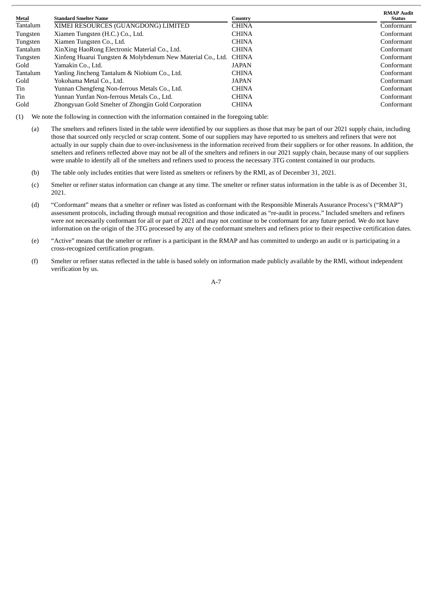| Metal    | <b>Standard Smelter Name</b>                                | Country      | <b>RMAP Audit</b><br>Status |
|----------|-------------------------------------------------------------|--------------|-----------------------------|
| Tantalum | XIMEI RESOURCES (GUANGDONG) LIMITED                         | <b>CHINA</b> | Conformant                  |
| Tungsten | Xiamen Tungsten (H.C.) Co., Ltd.                            | <b>CHINA</b> | Conformant                  |
| Tungsten | Xiamen Tungsten Co., Ltd.                                   | <b>CHINA</b> | Conformant                  |
| Tantalum | XinXing HaoRong Electronic Material Co., Ltd.               | <b>CHINA</b> | Conformant                  |
| Tungsten | Xinfeng Huarui Tungsten & Molybdenum New Material Co., Ltd. | <b>CHINA</b> | Conformant                  |
| Gold     | Yamakin Co., Ltd.                                           | <b>JAPAN</b> | Conformant                  |
| Tantalum | Yanling Jincheng Tantalum & Niobium Co., Ltd.               | <b>CHINA</b> | Conformant                  |
| Gold     | Yokohama Metal Co., Ltd.                                    | JAPAN        | Conformant                  |
| Tin      | Yunnan Chengfeng Non-ferrous Metals Co., Ltd.               | <b>CHINA</b> | Conformant                  |
| Tin      | Yunnan Yunfan Non-ferrous Metals Co., Ltd.                  | <b>CHINA</b> | Conformant                  |
| Gold     | Zhongyuan Gold Smelter of Zhongjin Gold Corporation         | <b>CHINA</b> | Conformant                  |

(1) We note the following in connection with the information contained in the foregoing table:

- (a) The smelters and refiners listed in the table were identified by our suppliers as those that may be part of our 2021 supply chain, including those that sourced only recycled or scrap content. Some of our suppliers may have reported to us smelters and refiners that were not actually in our supply chain due to over-inclusiveness in the information received from their suppliers or for other reasons. In addition, the smelters and refiners reflected above may not be all of the smelters and refiners in our 2021 supply chain, because many of our suppliers were unable to identify all of the smelters and refiners used to process the necessary 3TG content contained in our products.
- (b) The table only includes entities that were listed as smelters or refiners by the RMI, as of December 31, 2021.
- (c) Smelter or refiner status information can change at any time. The smelter or refiner status information in the table is as of December 31, 2021.
- (d) "Conformant" means that a smelter or refiner was listed as conformant with the Responsible Minerals Assurance Process's ("RMAP") assessment protocols, including through mutual recognition and those indicated as "re-audit in process." Included smelters and refiners were not necessarily conformant for all or part of 2021 and may not continue to be conformant for any future period. We do not have information on the origin of the 3TG processed by any of the conformant smelters and refiners prior to their respective certification dates.
- (e) "Active" means that the smelter or refiner is a participant in the RMAP and has committed to undergo an audit or is participating in a cross-recognized certification program.
- (f) Smelter or refiner status reflected in the table is based solely on information made publicly available by the RMI, without independent verification by us.